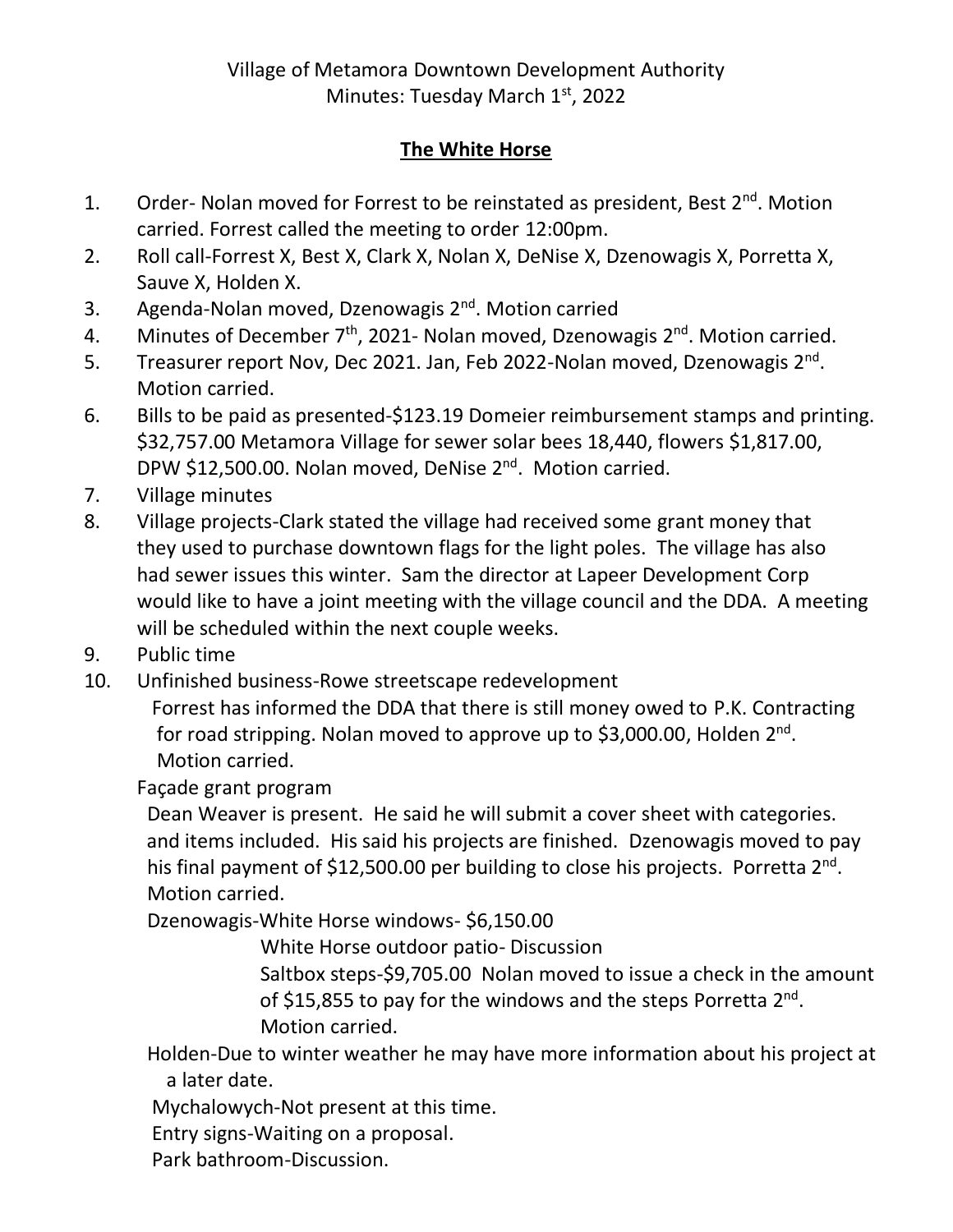## **The White Horse**

- 1. Order- Nolan moved for Forrest to be reinstated as president, Best 2<sup>nd</sup>. Motion carried. Forrest called the meeting to order 12:00pm.
- 2. Roll call-Forrest X, Best X, Clark X, Nolan X, DeNise X, Dzenowagis X, Porretta X, Sauve X, Holden X.
- 3. Agenda-Nolan moved, Dzenowagis 2<sup>nd</sup>. Motion carried
- 4. Minutes of December  $7<sup>th</sup>$ , 2021- Nolan moved, Dzenowagis  $2<sup>nd</sup>$ . Motion carried.
- 5. Treasurer report Nov, Dec 2021. Jan, Feb 2022-Nolan moved, Dzenowagis 2<sup>nd</sup>. Motion carried.
- 6. Bills to be paid as presented-\$123.19 Domeier reimbursement stamps and printing. \$32,757.00 Metamora Village for sewer solar bees 18,440, flowers \$1,817.00, DPW \$12,500.00. Nolan moved, DeNise 2<sup>nd</sup>. Motion carried.
- 7. Village minutes
- 8. Village projects-Clark stated the village had received some grant money that they used to purchase downtown flags for the light poles. The village has also had sewer issues this winter. Sam the director at Lapeer Development Corp would like to have a joint meeting with the village council and the DDA. A meeting will be scheduled within the next couple weeks.
- 9. Public time
- 10. Unfinished business-Rowe streetscape redevelopment

 Forrest has informed the DDA that there is still money owed to P.K. Contracting for road stripping. Nolan moved to approve up to \$3,000.00, Holden 2<sup>nd</sup>. Motion carried.

## Façade grant program

 Dean Weaver is present. He said he will submit a cover sheet with categories. and items included. His said his projects are finished. Dzenowagis moved to pay his final payment of \$12,500.00 per building to close his projects. Porretta 2<sup>nd</sup>. Motion carried.

Dzenowagis-White Horse windows- \$6,150.00

White Horse outdoor patio- Discussion

 Saltbox steps-\$9,705.00 Nolan moved to issue a check in the amount of \$15,855 to pay for the windows and the steps Porretta  $2^{nd}$ . Motion carried.

 Holden-Due to winter weather he may have more information about his project at a later date.

Mychalowych-Not present at this time.

Entry signs-Waiting on a proposal.

Park bathroom-Discussion.